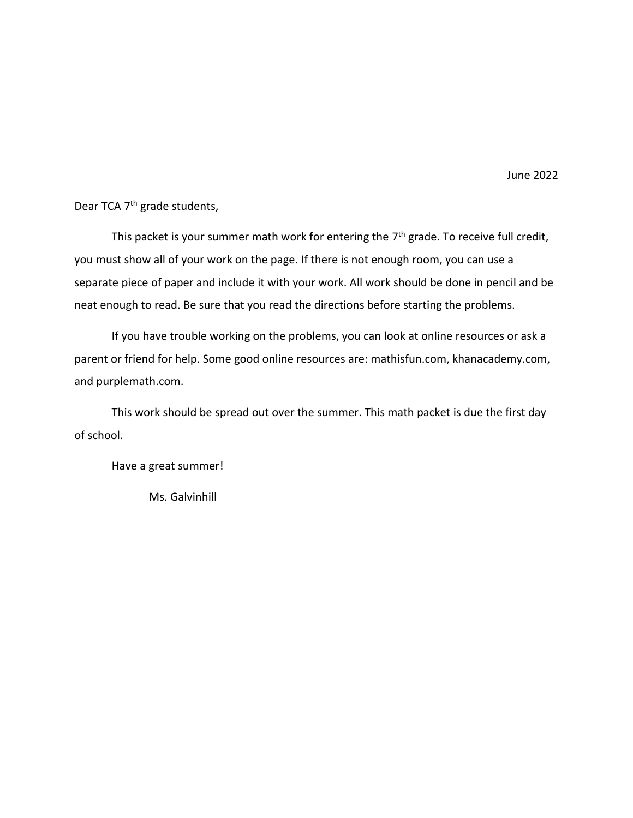June 2022

Dear TCA 7<sup>th</sup> grade students,

This packet is your summer math work for entering the 7<sup>th</sup> grade. To receive full credit, you must show all of your work on the page. If there is not enough room, you can use a separate piece of paper and include it with your work. All work should be done in pencil and be neat enough to read. Be sure that you read the directions before starting the problems.

If you have trouble working on the problems, you can look at online resources or ask a parent or friend for help. Some good online resources are: mathisfun.com, khanacademy.com, and purplemath.com.

This work should be spread out over the summer. This math packet is due the first day of school.

Have a great summer!

Ms. Galvinhill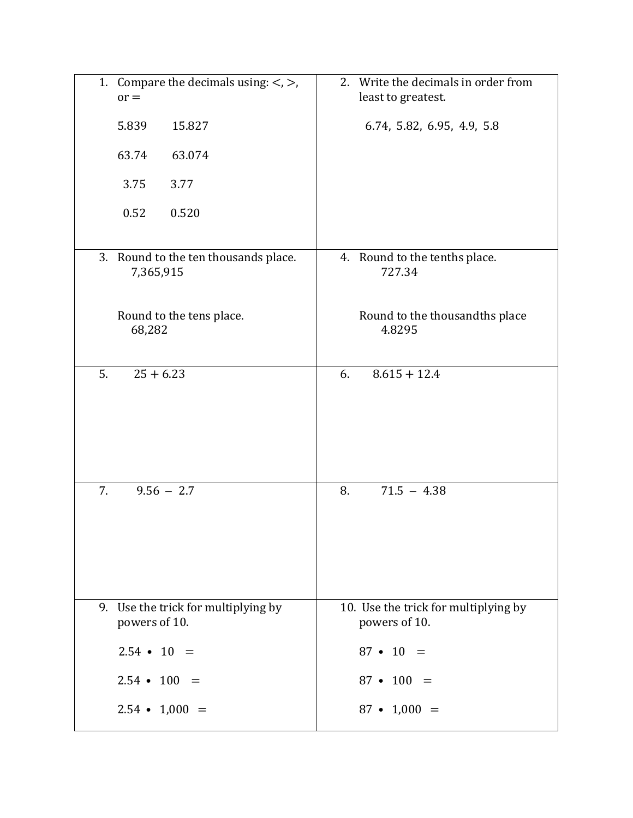| 1. Compare the decimals using: $\lt$ , $>$ ,<br>$or =$  | 2. Write the decimals in order from<br>least to greatest. |
|---------------------------------------------------------|-----------------------------------------------------------|
| 5.839<br>15.827                                         | 6.74, 5.82, 6.95, 4.9, 5.8                                |
| 63.74<br>63.074                                         |                                                           |
| 3.75<br>3.77                                            |                                                           |
| 0.52<br>0.520                                           |                                                           |
| 3. Round to the ten thousands place.<br>7,365,915       | 4. Round to the tenths place.<br>727.34                   |
| Round to the tens place.<br>68,282                      | Round to the thousandths place<br>4.8295                  |
| 5.<br>$25 + 6.23$                                       | $8.615 + 12.4$<br>6.                                      |
| $9.56 - 2.7$<br>7.                                      | $71.5 - 4.38$<br>8.                                       |
| Use the trick for multiplying by<br>9.<br>powers of 10. | 10. Use the trick for multiplying by<br>powers of 10.     |
| $2.54 \cdot 10 =$                                       | $87 \cdot 10 =$                                           |
| $2.54 \cdot 100 =$                                      | $87 \cdot 100 =$                                          |
| $2.54 \cdot 1,000 =$                                    | $87 \cdot 1,000 =$                                        |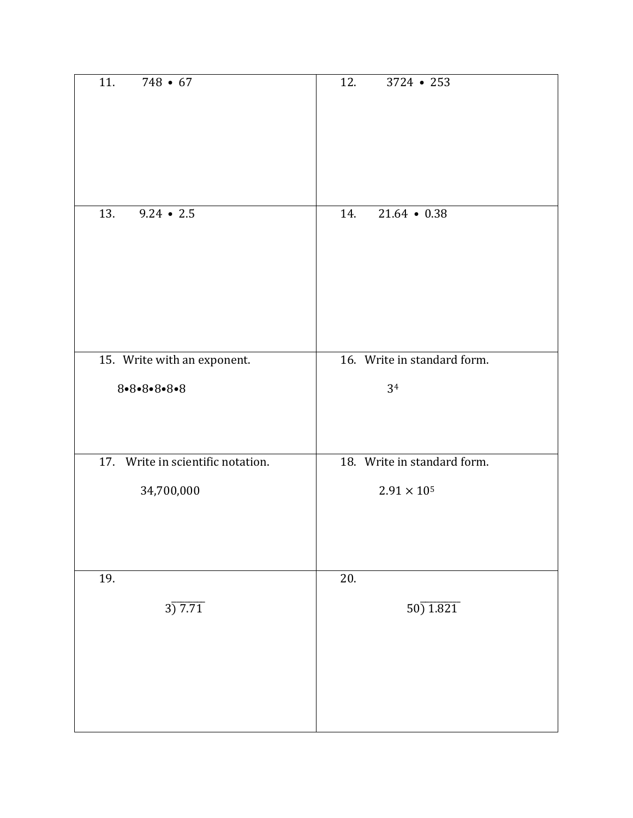| 11.<br>$748 \cdot 67$             | 12.<br>$3724 - 253$         |
|-----------------------------------|-----------------------------|
| $9.24 \cdot 2.5$<br>13.           | 14.<br>$21.64 \cdot 0.38$   |
| 15. Write with an exponent.       | 16. Write in standard form. |
| $8 - 8 - 8 - 8 - 8$               | 34                          |
| 17. Write in scientific notation. | 18. Write in standard form. |
| 34,700,000                        | $2.91\times10^{5}$          |
| 19.<br>3)7.71                     | 20.<br>50) 1.821            |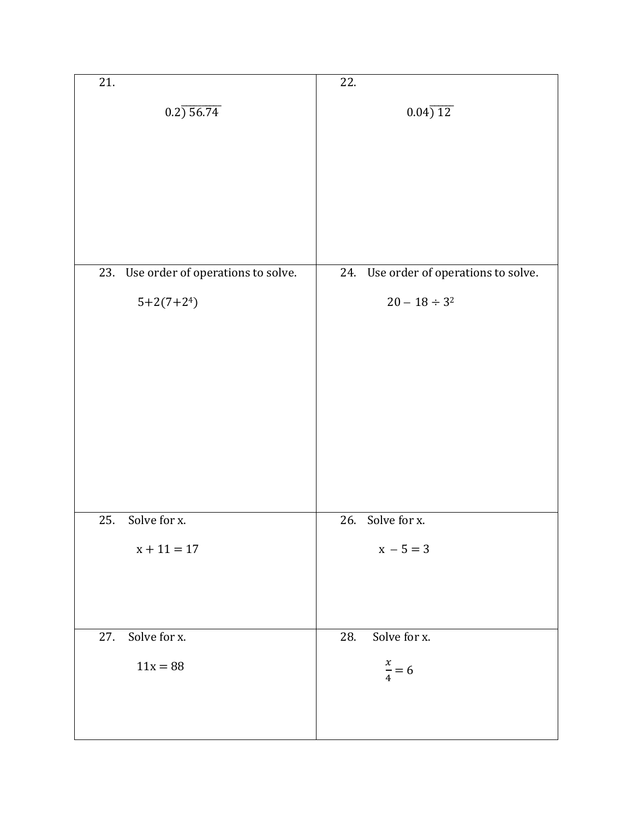| 21.                                   | 22.                                   |
|---------------------------------------|---------------------------------------|
| $0.2) \, 56.74$                       | 0.04)12                               |
|                                       |                                       |
|                                       |                                       |
|                                       |                                       |
|                                       |                                       |
| 23. Use order of operations to solve. | 24. Use order of operations to solve. |
| $5+2(7+24)$                           | $20 - 18 \div 3^2$                    |
|                                       |                                       |
|                                       |                                       |
|                                       |                                       |
|                                       |                                       |
|                                       |                                       |
|                                       |                                       |
| 25.<br>Solve for x.                   | 26. Solve for x.                      |
| $x + 11 = 17$                         | $x - 5 = 3$                           |
|                                       |                                       |
|                                       |                                       |
| 27.<br>Solve for x.                   | 28.<br>Solve for x.                   |
| $11x = 88$                            | $\frac{x}{4} = 6$                     |
|                                       |                                       |
|                                       |                                       |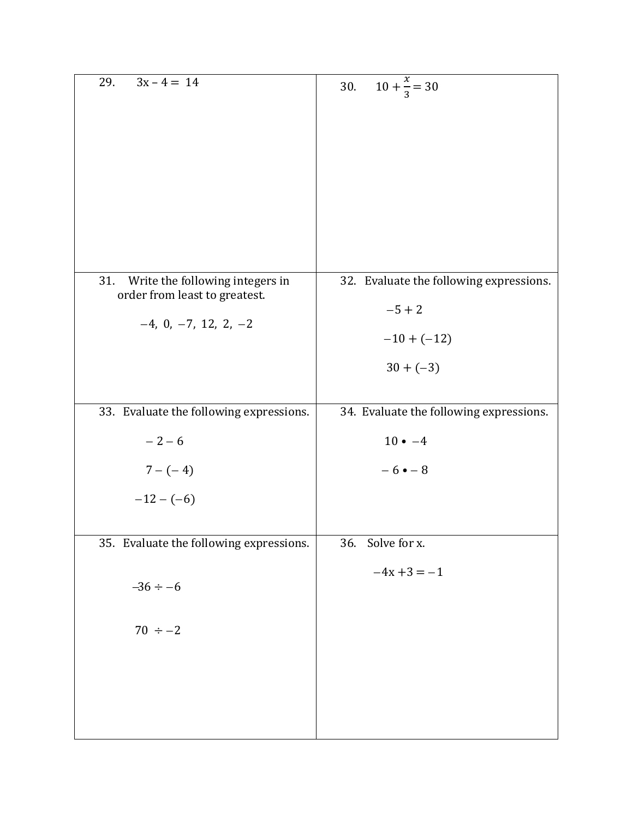| 29.<br>$3x - 4 = 14$                                                                              | $10 + \frac{x}{3} = 30$<br>30.                                                      |
|---------------------------------------------------------------------------------------------------|-------------------------------------------------------------------------------------|
| 31.<br>Write the following integers in<br>order from least to greatest.<br>$-4, 0, -7, 12, 2, -2$ | 32. Evaluate the following expressions.<br>$-5 + 2$<br>$-10 + (-12)$<br>$30 + (-3)$ |
| 33. Evaluate the following expressions.                                                           | 34. Evaluate the following expressions.                                             |
| $-2-6$                                                                                            | $10 \bullet -4$                                                                     |
| $7 - (-4)$                                                                                        | $-6 \cdot -8$                                                                       |
| $-12-(-6)$                                                                                        |                                                                                     |
| 35. Evaluate the following expressions.                                                           | Solve for x.<br>36.                                                                 |
| $-36 \div -6$                                                                                     | $-4x + 3 = -1$                                                                      |
| $70 \div -2$                                                                                      |                                                                                     |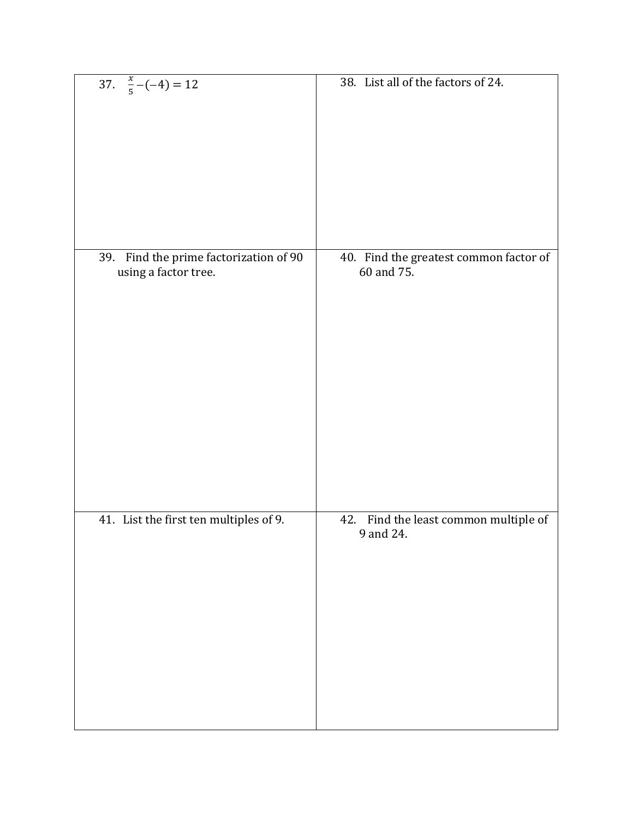| 37. $\frac{x}{5} - (-4) = 12$                                     | 38. List all of the factors of 24.                   |
|-------------------------------------------------------------------|------------------------------------------------------|
| Find the prime factorization of 90<br>39.<br>using a factor tree. | 40. Find the greatest common factor of<br>60 and 75. |
| 41. List the first ten multiples of 9.                            | 42. Find the least common multiple of<br>9 and 24.   |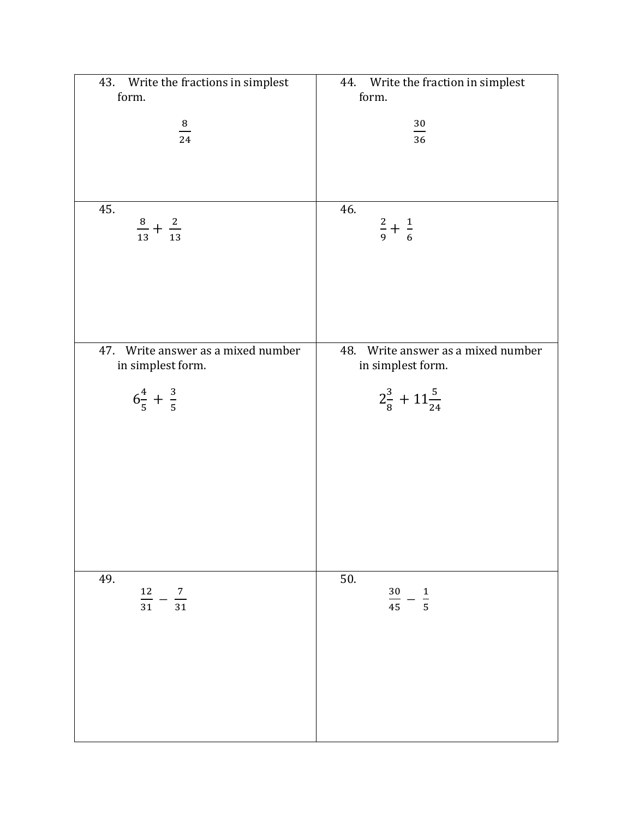| 43. Write the fractions in simplest<br>form. | 44. Write the fraction in simplest<br>form. |
|----------------------------------------------|---------------------------------------------|
|                                              |                                             |
| $\frac{8}{24}$                               | $\frac{30}{1}$<br>36                        |
|                                              |                                             |
|                                              |                                             |
| 45.                                          | 46.                                         |
| $\frac{8}{13} + \frac{2}{13}$                | $rac{2}{9} + \frac{1}{6}$                   |
|                                              |                                             |
|                                              |                                             |
|                                              |                                             |
|                                              |                                             |
| 47. Write answer as a mixed number           | 48. Write answer as a mixed number          |
| in simplest form.                            | in simplest form.                           |
| $6\frac{4}{5} + \frac{3}{5}$                 | $2\frac{3}{8}+11\frac{5}{24}$               |
|                                              |                                             |
|                                              |                                             |
|                                              |                                             |
|                                              |                                             |
|                                              |                                             |
|                                              |                                             |
|                                              |                                             |
| 49.<br>$\frac{12}{1}$<br>$\frac{7}{2}$       | 50.<br>30                                   |
| $\overline{31}$<br>$\overline{31}$           | $\frac{1}{5}$<br>$\overline{45}$            |
|                                              |                                             |
|                                              |                                             |
|                                              |                                             |
|                                              |                                             |
|                                              |                                             |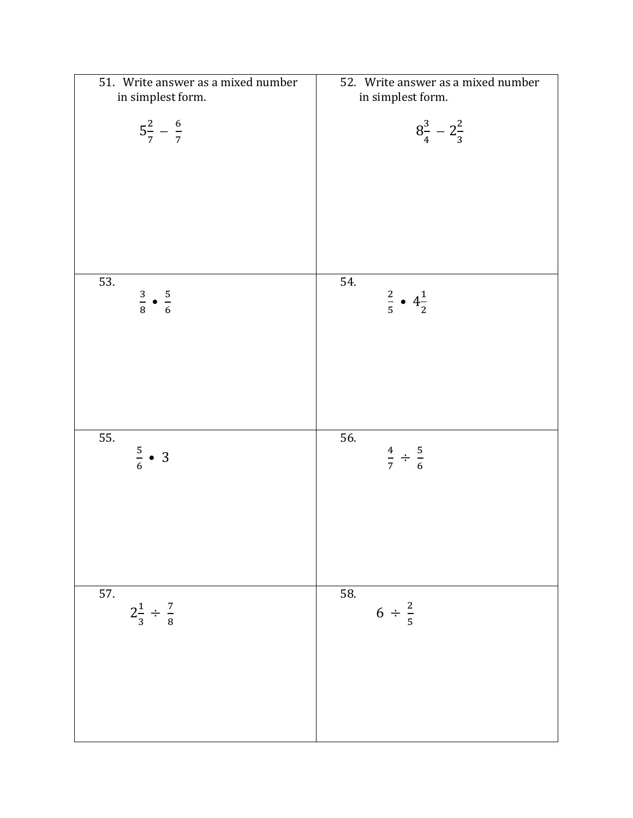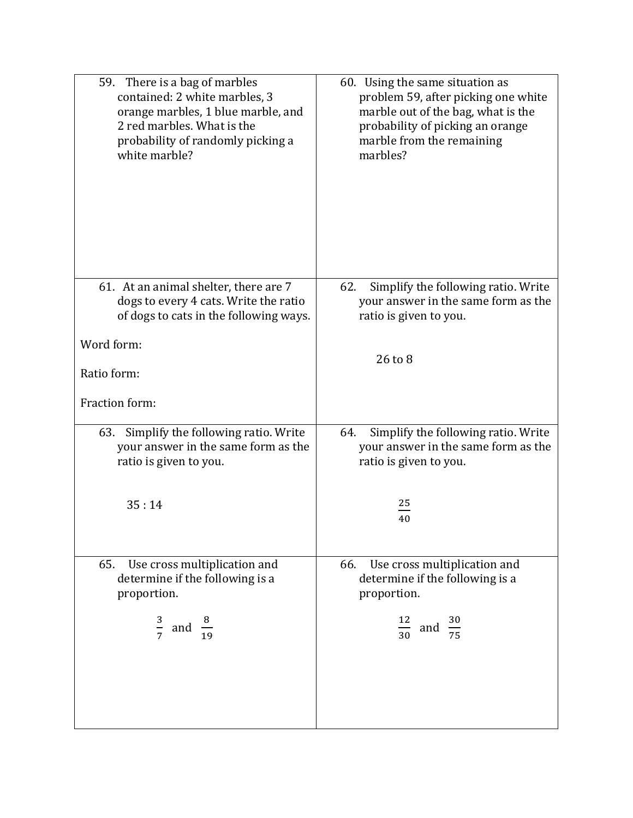| 59. There is a bag of marbles<br>contained: 2 white marbles, 3<br>orange marbles, 1 blue marble, and<br>2 red marbles. What is the<br>probability of randomly picking a<br>white marble? | 60. Using the same situation as<br>problem 59, after picking one white<br>marble out of the bag, what is the<br>probability of picking an orange<br>marble from the remaining<br>marbles? |
|------------------------------------------------------------------------------------------------------------------------------------------------------------------------------------------|-------------------------------------------------------------------------------------------------------------------------------------------------------------------------------------------|
| 61. At an animal shelter, there are 7<br>dogs to every 4 cats. Write the ratio<br>of dogs to cats in the following ways.                                                                 | Simplify the following ratio. Write<br>62.<br>your answer in the same form as the<br>ratio is given to you.                                                                               |
| Word form:                                                                                                                                                                               | 26 to 8                                                                                                                                                                                   |
| Ratio form:                                                                                                                                                                              |                                                                                                                                                                                           |
| Fraction form:                                                                                                                                                                           |                                                                                                                                                                                           |
| 63. Simplify the following ratio. Write<br>your answer in the same form as the<br>ratio is given to you.                                                                                 | Simplify the following ratio. Write<br>64.<br>your answer in the same form as the<br>ratio is given to you.                                                                               |
| 35:14                                                                                                                                                                                    | 25<br>40                                                                                                                                                                                  |
| Use cross multiplication and<br>65.<br>determine if the following is a<br>proportion.                                                                                                    | Use cross multiplication and<br>66.<br>determine if the following is a<br>proportion.                                                                                                     |
| $rac{3}{7}$ and                                                                                                                                                                          | $\frac{12}{30}$ and                                                                                                                                                                       |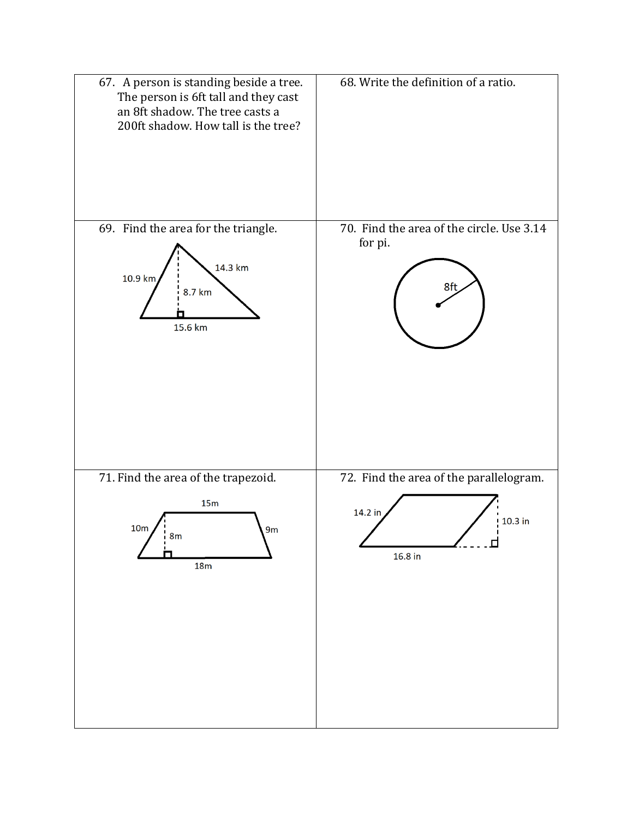